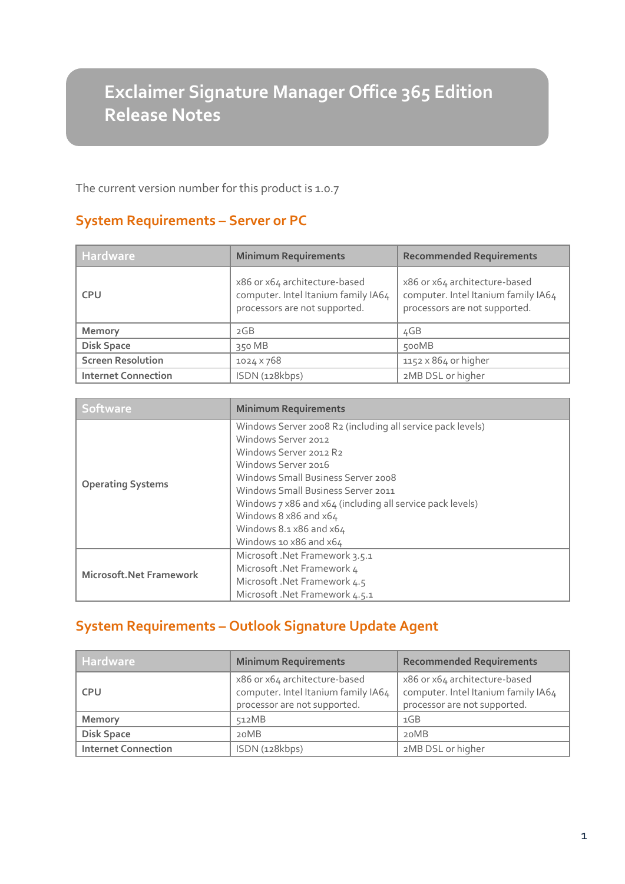# **Exclaimer Signature Manager Office 365 Edition Release Notes**

The current version number for this product is 1.0.7

# **System Requirements – Server or PC**

**Version Number** 

| <b>Hardware</b>            | <b>Minimum Requirements</b>                                                                           | <b>Recommended Requirements</b>                                                                       |
|----------------------------|-------------------------------------------------------------------------------------------------------|-------------------------------------------------------------------------------------------------------|
| <b>CPU</b>                 | x86 or x64 architecture-based<br>computer. Intel Itanium family IA64<br>processors are not supported. | x86 or x64 architecture-based<br>computer. Intel Itanium family IA64<br>processors are not supported. |
| <b>Memory</b>              | 2GB                                                                                                   | 4GB                                                                                                   |
| <b>Disk Space</b>          | 350 MB                                                                                                | 500MB                                                                                                 |
| <b>Screen Resolution</b>   | 1024 × 768                                                                                            | 1152 x 864 or higher                                                                                  |
| <b>Internet Connection</b> | ISDN (128kbps)                                                                                        | 2MB DSL or higher                                                                                     |

| <b>Software</b>                 | <b>Minimum Requirements</b>                                |  |
|---------------------------------|------------------------------------------------------------|--|
| <b>Operating Systems</b>        | Windows Server 2008 R2 (including all service pack levels) |  |
|                                 | Windows Server 2012                                        |  |
|                                 | Windows Server 2012 R2                                     |  |
|                                 | Windows Server 2016                                        |  |
|                                 | Windows Small Business Server 2008                         |  |
|                                 | Windows Small Business Server 2011                         |  |
|                                 | Windows 7 x86 and x64 (including all service pack levels)  |  |
|                                 | Windows 8 x86 and x64                                      |  |
|                                 | Windows $8.1 \times 86$ and $\times 64$                    |  |
|                                 | Windows 10 x86 and x64                                     |  |
| <b>Microsoft. Net Framework</b> | Microsoft .Net Framework 3.5.1                             |  |
|                                 | Microsoft .Net Framework 4                                 |  |
|                                 | Microsoft .Net Framework 4.5                               |  |
|                                 | Microsoft .Net Framework 4.5.1                             |  |

# **System Requirements – Outlook Signature Update Agent**

| <b>Hardware</b>            | <b>Minimum Requirements</b>                                                                          | <b>Recommended Requirements</b>                                                                      |
|----------------------------|------------------------------------------------------------------------------------------------------|------------------------------------------------------------------------------------------------------|
| <b>CPU</b>                 | x86 or x64 architecture-based<br>computer. Intel Itanium family IA64<br>processor are not supported. | x86 or x64 architecture-based<br>computer. Intel Itanium family IA64<br>processor are not supported. |
| Memory                     | 512MB                                                                                                | 1GB                                                                                                  |
| <b>Disk Space</b>          | 20MB                                                                                                 | 20MB                                                                                                 |
| <b>Internet Connection</b> | ISDN (128kbps)                                                                                       | 2MB DSL or higher                                                                                    |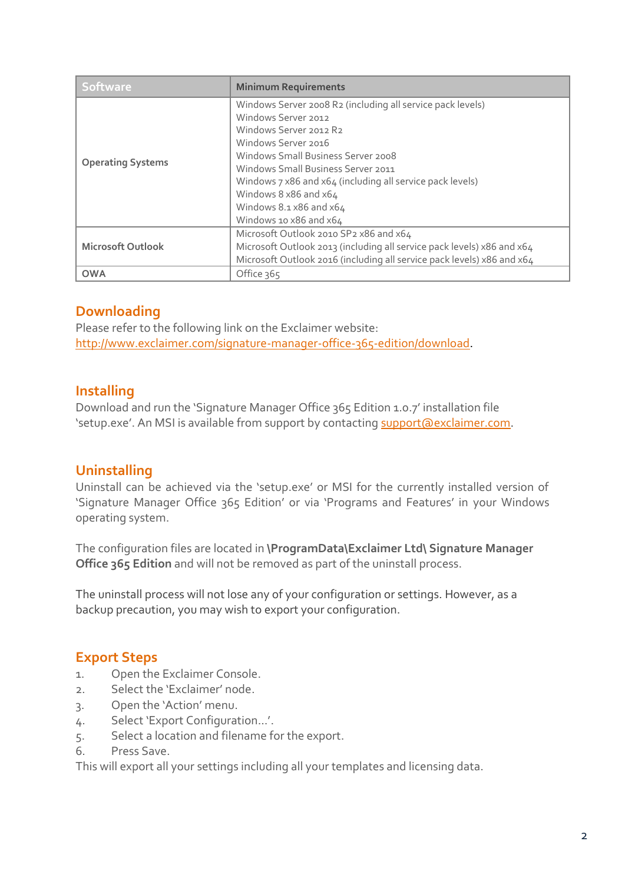| <b>Software</b>          | <b>Minimum Requirements</b>                                            |  |
|--------------------------|------------------------------------------------------------------------|--|
| <b>Operating Systems</b> | Windows Server 2008 R2 (including all service pack levels)             |  |
|                          | Windows Server 2012                                                    |  |
|                          | Windows Server 2012 R2                                                 |  |
|                          | Windows Server 2016                                                    |  |
|                          | Windows Small Business Server 2008                                     |  |
|                          | Windows Small Business Server 2011                                     |  |
|                          | Windows 7 x86 and x64 (including all service pack levels)              |  |
|                          | Windows 8 x86 and x64                                                  |  |
|                          | Windows $8.1 \times 86$ and $\times 64$                                |  |
|                          | Windows 10 x86 and x64                                                 |  |
| <b>Microsoft Outlook</b> | Microsoft Outlook 2010 SP2 x86 and x64                                 |  |
|                          | Microsoft Outlook 2013 (including all service pack levels) x86 and x64 |  |
|                          | Microsoft Outlook 2016 (including all service pack levels) x86 and x64 |  |
| <b>OWA</b>               | Office 365                                                             |  |

## **Downloading**

Please refer to the following link on the Exclaimer website: [http://www.exclaimer.com/signature-manager-office-365-edition/download.](http://www.exclaimer.com/signature-manager-office-365-edition/download)

#### **Installing**

Download and run the 'Signature Manager Office 365 Edition 1.0.7' installation file 'setup.exe'. An MSI is available from support by contacting [support@exclaimer.com.](mailto:support@exclaimer.com)

#### **Uninstalling**

Uninstall can be achieved via the 'setup.exe' or MSI for the currently installed version of 'Signature Manager Office 365 Edition' or via 'Programs and Features' in your Windows operating system.

The configuration files are located in **\ProgramData\Exclaimer Ltd\ Signature Manager Office 365 Edition** and will not be removed as part of the uninstall process.

The uninstall process will not lose any of your configuration or settings. However, as a backup precaution, you may wish to export your configuration.

#### **Export Steps**

- 1. Open the Exclaimer Console.
- 2. Select the 'Exclaimer' node.
- 3. Open the 'Action' menu.
- 4. Select 'Export Configuration...'.
- 5. Select a location and filename for the export.
- 6. Press Save.

This will export all your settings including all your templates and licensing data.